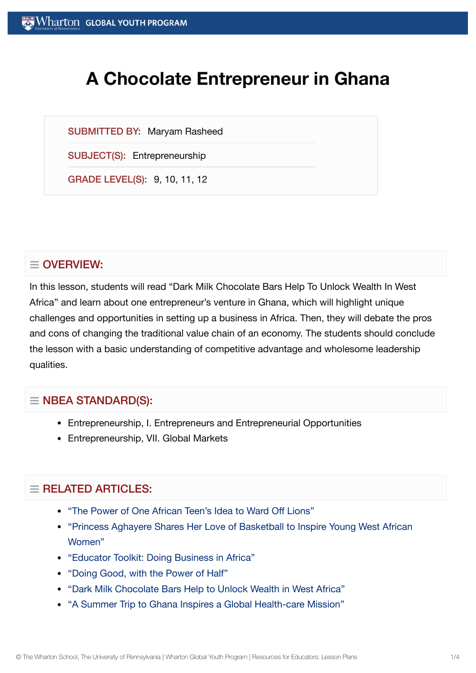# **A Chocolate Entrepreneur in Ghana**

SUBMITTED BY: Maryam Rasheed

SUBJECT(S): Entrepreneurship

GRADE LEVEL(S): 9, 10, 11, 12

# $\equiv$  OVERVIEW:

In this lesson, students will read "Dark Milk Chocolate Bars Help To Unlock Wealth In West Africa" and learn about one entrepreneur's venture in Ghana, which will highlight unique challenges and opportunities in setting up a business in Africa. Then, they will debate the pros and cons of changing the traditional value chain of an economy. The students should conclude the lesson with a basic understanding of competitive advantage and wholesome leadership qualities.

### $\equiv$  NBEA STANDARD(S):

- Entrepreneurship, I. Entrepreneurs and Entrepreneurial Opportunities
- Entrepreneurship, VII. Global Markets

## $=$  RELATED ARTICLES:

- "The Power of One African [Teen's Idea](https://globalyouth.wharton.upenn.edu/articles/the-power-of-ideas-thinkers-doers-and-roaring-innovation/) to Ward Off Lions"
- ["Princess Aghayere](https://globalyouth.wharton.upenn.edu/articles/princess-aghayere-shares-love-basketball-inspire-young-west-african-women/) Shares Her Love of Basketball to Inspire Young West African Women"
- "Educator Toolkit: Doing [Business in](https://globalyouth.wharton.upenn.edu/articles/educator-toolkit-business-africa/) Africa"
- ["Doing](https://globalyouth.wharton.upenn.edu/articles/doing-good-with-the-power-of-half/) Good, with the Power of Half"
- "Dark Milk [Chocolate](https://globalyouth.wharton.upenn.edu/articles/dark-milk-chocolate-bars-help-to-unlock-wealth-in-west-africa/) Bars Help to Unlock Wealth in West Africa"
- "A Summer Trip to Ghana Inspires a Global [Health-care](https://globalyouth.wharton.upenn.edu/articles/a-summer-trip-to-ghana-inspires-a-global-health-care-mission/) Mission"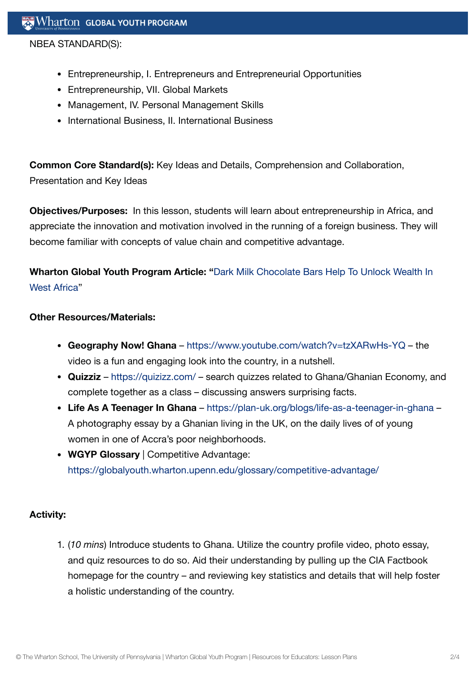NBEA STANDARD(S):

- Entrepreneurship, I. Entrepreneurs and Entrepreneurial Opportunities
- Entrepreneurship, VII. Global Markets
- Management, IV. Personal Management Skills
- International Business, II. International Business

**Common Core Standard(s):** Key Ideas and Details, Comprehension and Collaboration, Presentation and Key Ideas

**Objectives/Purposes:** In this lesson, students will learn about entrepreneurship in Africa, and appreciate the innovation and motivation involved in the running of a foreign business. They will become familiar with concepts of value chain and competitive advantage.

# **Wharton Global Youth Program Article: "**Dark Milk [Chocolate](https://globalyouth.wharton.upenn.edu/articles/dark-milk-chocolate-bars-help-to-unlock-wealth-in-west-africa/) Bars Help To Unlock Wealth In West Africa"

#### **Other Resources/Materials:**

- **Geography Now! Ghana** <https://www.youtube.com/watch?v=tzXARwHs-YQ> the video is a fun and engaging look into the country, in a nutshell.
- **Quizziz** <https://quizizz.com/> search quizzes related to Ghana/Ghanian Economy, and complete together as a class – discussing answers surprising facts.
- **Life As A Teenager In Ghana** <https://plan-uk.org/blogs/life-as-a-teenager-in-ghana> A photography essay by a Ghanian living in the UK, on the daily lives of of young women in one of Accra's poor neighborhoods.
- **WGYP Glossary** | Competitive Advantage: <https://globalyouth.wharton.upenn.edu/glossary/competitive-advantage/>

#### **Activity:**

1. (*10 mins*) Introduce students to Ghana. Utilize the country profile video, photo essay, and quiz resources to do so. Aid their understanding by pulling up the CIA Factbook homepage for the country – and reviewing key statistics and details that will help foster a holistic understanding of the country.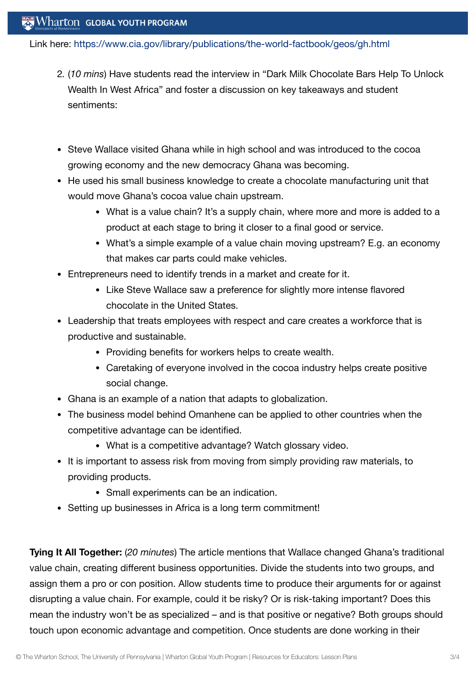### Wharton GLOBAL YOUTH PROGRAM

Link here: <https://www.cia.gov/library/publications/the-world-factbook/geos/gh.html>

- 2. (*10 mins*) Have students read the interview in "Dark Milk Chocolate Bars Help To Unlock Wealth In West Africa" and foster a discussion on key takeaways and student sentiments:
- Steve Wallace visited Ghana while in high school and was introduced to the cocoa growing economy and the new democracy Ghana was becoming.
- He used his small business knowledge to create a chocolate manufacturing unit that would move Ghana's cocoa value chain upstream.
	- What is a value chain? It's a supply chain, where more and more is added to a product at each stage to bring it closer to a final good or service.
	- What's a simple example of a value chain moving upstream? E.g. an economy that makes car parts could make vehicles.
- Entrepreneurs need to identify trends in a market and create for it.
	- Like Steve Wallace saw a preference for slightly more intense flavored chocolate in the United States.
- Leadership that treats employees with respect and care creates a workforce that is productive and sustainable.
	- Providing benefits for workers helps to create wealth.
	- Caretaking of everyone involved in the cocoa industry helps create positive social change.
- Ghana is an example of a nation that adapts to globalization.
- The business model behind Omanhene can be applied to other countries when the competitive advantage can be identified.
	- What is a competitive advantage? Watch glossary video.
- It is important to assess risk from moving from simply providing raw materials, to providing products.
	- Small experiments can be an indication.
- Setting up businesses in Africa is a long term commitment!

**Tying It All Together:** (*20 minutes*) The article mentions that Wallace changed Ghana's traditional value chain, creating different business opportunities. Divide the students into two groups, and assign them a pro or con position. Allow students time to produce their arguments for or against disrupting a value chain. For example, could it be risky? Or is risk-taking important? Does this mean the industry won't be as specialized – and is that positive or negative? Both groups should touch upon economic advantage and competition. Once students are done working in their